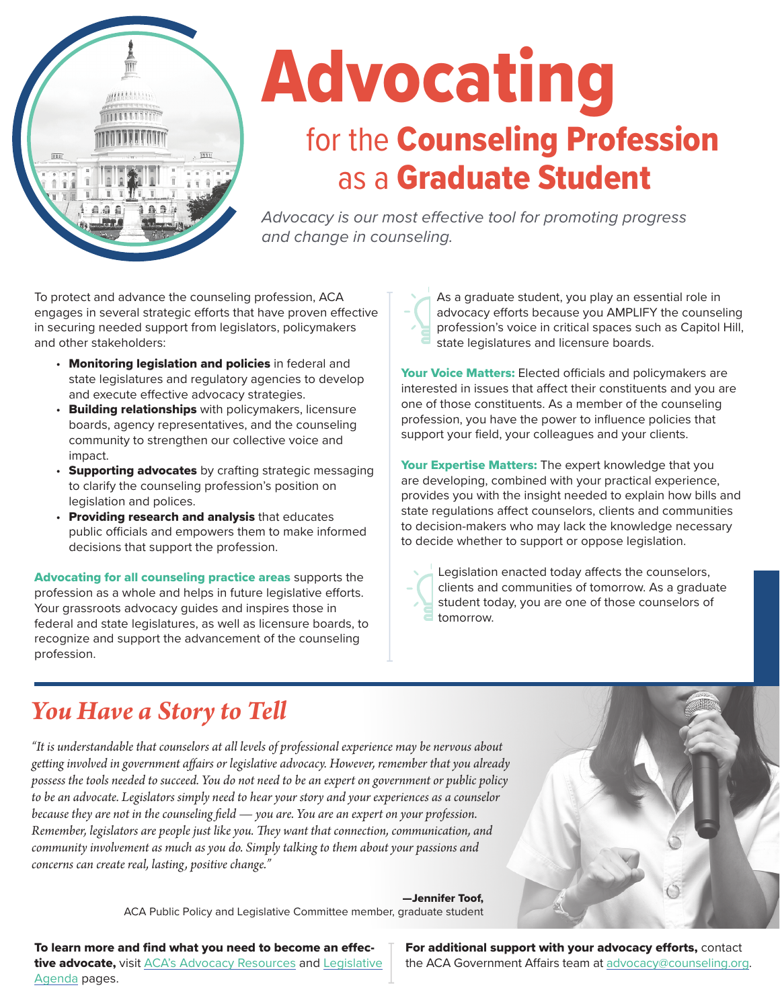

# Advocating for the Counseling Profession as a Graduate Student

*Advocacy is our most effective tool for promoting progress and change in counseling.*

To protect and advance the counseling profession, ACA engages in several strategic efforts that have proven effective in securing needed support from legislators, policymakers and other stakeholders:

- Monitoring legislation and policies in federal and state legislatures and regulatory agencies to develop and execute effective advocacy strategies.
- Building relationships with policymakers, licensure boards, agency representatives, and the counseling community to strengthen our collective voice and impact.
- Supporting advocates by crafting strategic messaging to clarify the counseling profession's position on legislation and polices.
- Providing research and analysis that educates public officials and empowers them to make informed decisions that support the profession.

Advocating for all counseling practice areas supports the profession as a whole and helps in future legislative efforts. Your grassroots advocacy guides and inspires those in federal and state legislatures, as well as licensure boards, to recognize and support the advancement of the counseling profession.

As a graduate student, you play an essential role in advocacy efforts because you AMPLIFY the counseling profession's voice in critical spaces such as Capitol Hill, state legislatures and licensure boards.

Your Voice Matters: Elected officials and policymakers are interested in issues that affect their constituents and you are one of those constituents. As a member of the counseling profession, you have the power to influence policies that support your field, your colleagues and your clients.

Your Expertise Matters: The expert knowledge that you are developing, combined with your practical experience, provides you with the insight needed to explain how bills and state regulations affect counselors, clients and communities to decision-makers who may lack the knowledge necessary to decide whether to support or oppose legislation.

Legislation enacted today affects the counselors, clients and communities of tomorrow. As a graduate student today, you are one of those counselors of tomorrow.

# *You Have a Story to Tell*

*"It is understandable that counselors at all levels of professional experience may be nervous about getting involved in government affairs or legislative advocacy. However, remember that you already possess the tools needed to succeed. You do not need to be an expert on government or public policy to be an advocate. Legislators simply need to hear your story and your experiences as a counselor because they are not in the counseling field — you are. You are an expert on your profession. Remember, legislators are people just like you. They want that connection, communication, and community involvement as much as you do. Simply talking to them about your passions and concerns can create real, lasting, positive change."*

> —Jennifer Toof, ACA Public Policy and Legislative Committee member, graduate student

To learn more and find what you need to become an effec-tive advocate, visit [ACA's Advocacy Resources](https://www.counseling.org/government-affairs/advocacy-tips-tools) and [Legislative](https://www.counseling.org/government-affairs/advocacy-tips-tools) [Agenda](https://www.counseling.org/government-affairs/advocacy-tips-tools) pages.

For additional support with your advocacy efforts, contact the ACA Government Affairs team at [advocacy@counseling.org](mailto:advocacy@counseling.org).